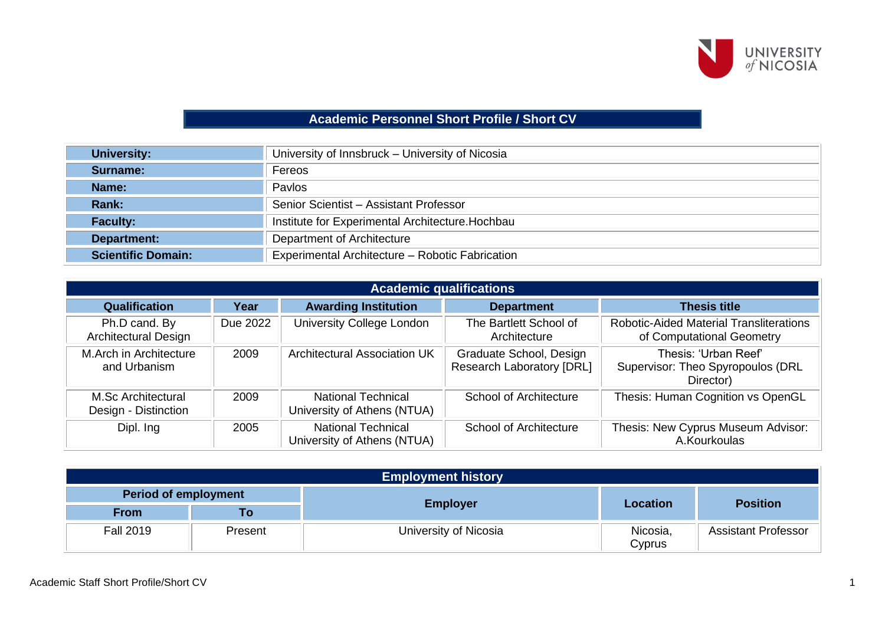

## **Academic Personnel Short Profile / Short CV**

| <b>University:</b>        | University of Innsbruck - University of Nicosia  |
|---------------------------|--------------------------------------------------|
| Surname:                  | Fereos                                           |
| Name:                     | Pavlos                                           |
| Rank:                     | Senior Scientist - Assistant Professor           |
| <b>Faculty:</b>           | Institute for Experimental Architecture. Hochbau |
| Department:               | Department of Architecture                       |
| <b>Scientific Domain:</b> | Experimental Architecture - Robotic Fabrication  |

|                                            | <b>Academic qualifications</b> |                                                          |                                                             |                                                                             |  |  |  |
|--------------------------------------------|--------------------------------|----------------------------------------------------------|-------------------------------------------------------------|-----------------------------------------------------------------------------|--|--|--|
| <b>Qualification</b>                       | Year                           | <b>Awarding Institution</b>                              | <b>Department</b>                                           | <b>Thesis title</b>                                                         |  |  |  |
| Ph.D cand. By<br>Architectural Design      | Due 2022                       | University College London                                | The Bartlett School of<br>Architecture                      | <b>Robotic-Aided Material Transliterations</b><br>of Computational Geometry |  |  |  |
| M.Arch in Architecture<br>and Urbanism     | 2009                           | Architectural Association UK                             | Graduate School, Design<br><b>Research Laboratory [DRL]</b> | Thesis: 'Urban Reef'<br>Supervisor: Theo Spyropoulos (DRL<br>Director)      |  |  |  |
| M.Sc Architectural<br>Design - Distinction | 2009                           | <b>National Technical</b><br>University of Athens (NTUA) | <b>School of Architecture</b>                               | Thesis: Human Cognition vs OpenGL                                           |  |  |  |
| Dipl. Ing                                  | 2005                           | <b>National Technical</b><br>University of Athens (NTUA) | <b>School of Architecture</b>                               | Thesis: New Cyprus Museum Advisor:<br>A.Kourkoulas                          |  |  |  |

| <b>Employment history</b>   |         |                       |                    |                            |  |  |
|-----------------------------|---------|-----------------------|--------------------|----------------------------|--|--|
| <b>Period of employment</b> |         |                       |                    |                            |  |  |
| <b>From</b>                 | Τо      | <b>Employer</b>       | <b>Location</b>    | <b>Position</b>            |  |  |
| <b>Fall 2019</b>            | Present | University of Nicosia | Nicosia,<br>Cyprus | <b>Assistant Professor</b> |  |  |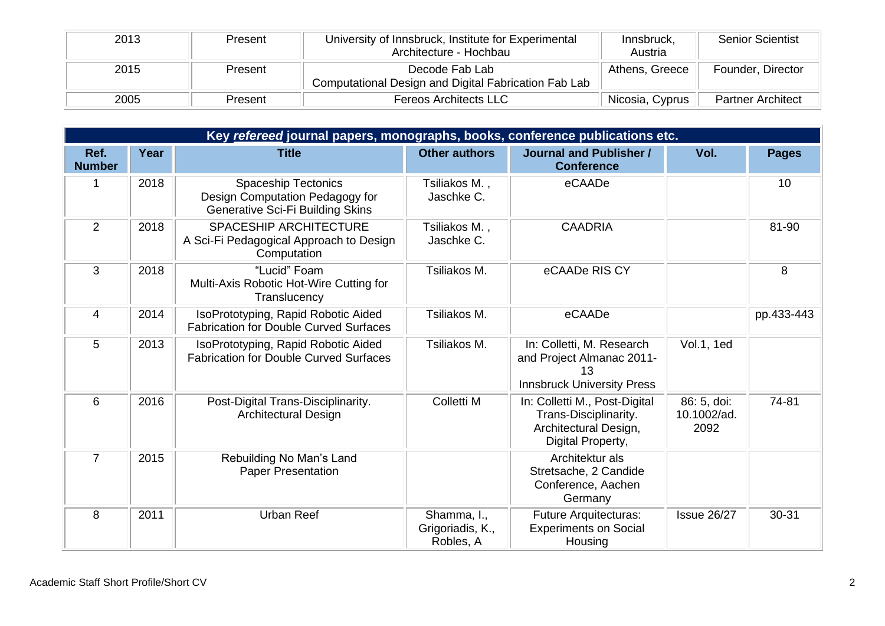| 2013 | Present | University of Innsbruck, Institute for Experimental<br>Architecture - Hochbau | Innsbruck,<br>Austria | <b>Senior Scientist</b>  |
|------|---------|-------------------------------------------------------------------------------|-----------------------|--------------------------|
| 2015 | Present | Decode Fab Lab<br>Computational Design and Digital Fabrication Fab Lab        | Athens, Greece        | Founder, Director        |
| 2005 | Present | <b>Fereos Architects LLC</b>                                                  | Nicosia, Cyprus       | <b>Partner Architect</b> |

|                       | Key refereed journal papers, monographs, books, conference publications etc. |                                                                                                          |                                              |                                                                                                      |                                    |              |  |  |  |
|-----------------------|------------------------------------------------------------------------------|----------------------------------------------------------------------------------------------------------|----------------------------------------------|------------------------------------------------------------------------------------------------------|------------------------------------|--------------|--|--|--|
| Ref.<br><b>Number</b> | Year                                                                         | <b>Title</b>                                                                                             | <b>Other authors</b>                         | <b>Journal and Publisher /</b><br><b>Conference</b>                                                  | Vol.                               | <b>Pages</b> |  |  |  |
|                       | 2018                                                                         | <b>Spaceship Tectonics</b><br>Design Computation Pedagogy for<br><b>Generative Sci-Fi Building Skins</b> | Tsiliakos M.,<br>Jaschke C.                  | eCAADe                                                                                               |                                    | 10           |  |  |  |
| $\overline{2}$        | 2018                                                                         | SPACESHIP ARCHITECTURE<br>A Sci-Fi Pedagogical Approach to Design<br>Computation                         | Tsiliakos M.,<br>Jaschke C.                  | <b>CAADRIA</b>                                                                                       |                                    | 81-90        |  |  |  |
| 3                     | 2018                                                                         | "Lucid" Foam<br>Multi-Axis Robotic Hot-Wire Cutting for<br>Translucency                                  | Tsiliakos M.                                 | eCAADe RIS CY                                                                                        |                                    | 8            |  |  |  |
| 4                     | 2014                                                                         | IsoPrototyping, Rapid Robotic Aided<br><b>Fabrication for Double Curved Surfaces</b>                     | Tsiliakos M.                                 | eCAADe                                                                                               |                                    | pp.433-443   |  |  |  |
| 5                     | 2013                                                                         | IsoPrototyping, Rapid Robotic Aided<br><b>Fabrication for Double Curved Surfaces</b>                     | Tsiliakos M.                                 | In: Colletti, M. Research<br>and Project Almanac 2011-<br>13<br><b>Innsbruck University Press</b>    | <b>Vol.1, 1ed</b>                  |              |  |  |  |
| 6                     | 2016                                                                         | Post-Digital Trans-Disciplinarity.<br><b>Architectural Design</b>                                        | Colletti M                                   | In: Colletti M., Post-Digital<br>Trans-Disciplinarity.<br>Architectural Design,<br>Digital Property, | 86: 5, doi:<br>10.1002/ad.<br>2092 | 74-81        |  |  |  |
| $\overline{7}$        | 2015                                                                         | Rebuilding No Man's Land<br><b>Paper Presentation</b>                                                    |                                              | Architektur als<br>Stretsache, 2 Candide<br>Conference, Aachen<br>Germany                            |                                    |              |  |  |  |
| 8                     | 2011                                                                         | <b>Urban Reef</b>                                                                                        | Shamma, I.,<br>Grigoriadis, K.,<br>Robles, A | Future Arquitecturas:<br><b>Experiments on Social</b><br>Housing                                     | <b>Issue 26/27</b>                 | 30-31        |  |  |  |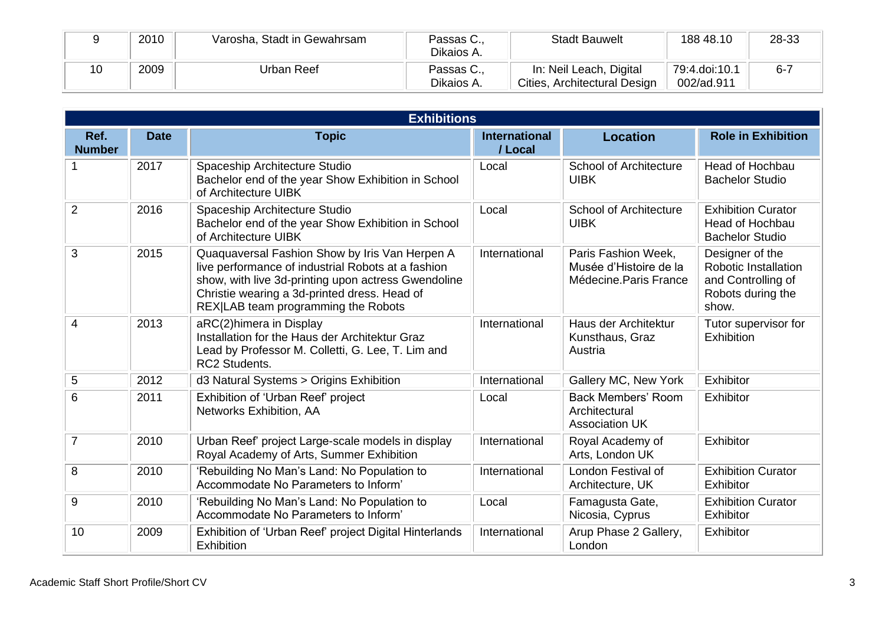|    | 2010 | Varosha, Stadt in Gewahrsam | Passas C.,<br>Dikaios A. | <b>Stadt Bauwelt</b>                                    | 188 48.10                   | 28-33   |
|----|------|-----------------------------|--------------------------|---------------------------------------------------------|-----------------------------|---------|
| 10 | 2009 | Urban Reef                  | Passas C.,<br>Dikaios A. | In: Neil Leach, Digital<br>Cities, Architectural Design | 79:4.doi:10.1<br>002/ad.911 | $6 - 7$ |

|                       |             | <b>Exhibitions</b>                                                                                                                                                                                                                                 |                                 |                                                                        |                                                                                                    |
|-----------------------|-------------|----------------------------------------------------------------------------------------------------------------------------------------------------------------------------------------------------------------------------------------------------|---------------------------------|------------------------------------------------------------------------|----------------------------------------------------------------------------------------------------|
| Ref.<br><b>Number</b> | <b>Date</b> | <b>Topic</b>                                                                                                                                                                                                                                       | <b>International</b><br>/ Local | <b>Location</b>                                                        | <b>Role in Exhibition</b>                                                                          |
|                       | 2017        | Spaceship Architecture Studio<br>Bachelor end of the year Show Exhibition in School<br>of Architecture UIBK                                                                                                                                        | Local                           | <b>School of Architecture</b><br><b>UIBK</b>                           | <b>Head of Hochbau</b><br><b>Bachelor Studio</b>                                                   |
| $\overline{2}$        | 2016        | Spaceship Architecture Studio<br>Bachelor end of the year Show Exhibition in School<br>of Architecture UIBK                                                                                                                                        | Local                           | <b>School of Architecture</b><br><b>UIBK</b>                           | <b>Exhibition Curator</b><br>Head of Hochbau<br><b>Bachelor Studio</b>                             |
| 3                     | 2015        | Quaquaversal Fashion Show by Iris Van Herpen A<br>live performance of industrial Robots at a fashion<br>show, with live 3d-printing upon actress Gwendoline<br>Christie wearing a 3d-printed dress. Head of<br>REX LAB team programming the Robots | International                   | Paris Fashion Week,<br>Musée d'Histoire de la<br>Médecine.Paris France | Designer of the<br><b>Robotic Installation</b><br>and Controlling of<br>Robots during the<br>show. |
| 4                     | 2013        | aRC(2)himera in Display<br>Installation for the Haus der Architektur Graz<br>Lead by Professor M. Colletti, G. Lee, T. Lim and<br><b>RC2 Students.</b>                                                                                             | International                   | Haus der Architektur<br>Kunsthaus, Graz<br>Austria                     | Tutor supervisor for<br>Exhibition                                                                 |
| 5                     | 2012        | d3 Natural Systems > Origins Exhibition                                                                                                                                                                                                            | International                   | Gallery MC, New York                                                   | Exhibitor                                                                                          |
| 6                     | 2011        | Exhibition of 'Urban Reef' project<br>Networks Exhibition, AA                                                                                                                                                                                      | Local                           | <b>Back Members' Room</b><br>Architectural<br><b>Association UK</b>    | Exhibitor                                                                                          |
| $\overline{7}$        | 2010        | Urban Reef' project Large-scale models in display<br>Royal Academy of Arts, Summer Exhibition                                                                                                                                                      | International                   | Royal Academy of<br>Arts, London UK                                    | Exhibitor                                                                                          |
| 8                     | 2010        | 'Rebuilding No Man's Land: No Population to<br>Accommodate No Parameters to Inform'                                                                                                                                                                | International                   | London Festival of<br>Architecture, UK                                 | <b>Exhibition Curator</b><br>Exhibitor                                                             |
| 9                     | 2010        | 'Rebuilding No Man's Land: No Population to<br>Accommodate No Parameters to Inform'                                                                                                                                                                | Local                           | Famagusta Gate,<br>Nicosia, Cyprus                                     | <b>Exhibition Curator</b><br>Exhibitor                                                             |
| 10                    | 2009        | Exhibition of 'Urban Reef' project Digital Hinterlands<br>Exhibition                                                                                                                                                                               | International                   | Arup Phase 2 Gallery,<br>London                                        | Exhibitor                                                                                          |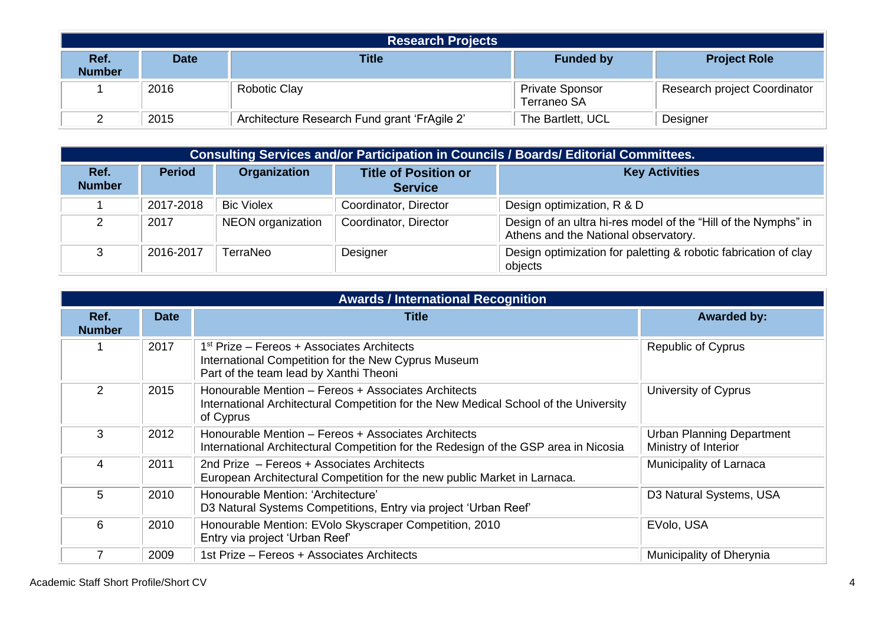| <b>Research Projects</b> |             |                                              |                                              |                              |  |
|--------------------------|-------------|----------------------------------------------|----------------------------------------------|------------------------------|--|
| Ref.<br><b>Number</b>    | <b>Date</b> | <b>Title</b>                                 | <b>Funded by</b>                             | <b>Project Role</b>          |  |
|                          | 2016        | <b>Robotic Clay</b>                          | <b>Private Sponsor</b><br><b>Terraneo SA</b> | Research project Coordinator |  |
|                          | 2015        | Architecture Research Fund grant 'FrAgile 2' | The Bartlett, UCL                            | Designer                     |  |

|                       | Consulting Services and/or Participation in Councils / Boards/ Editorial Committees. |                   |                                               |                                                                                                        |  |  |  |
|-----------------------|--------------------------------------------------------------------------------------|-------------------|-----------------------------------------------|--------------------------------------------------------------------------------------------------------|--|--|--|
| Ref.<br><b>Number</b> | <b>Period</b>                                                                        | Organization      | <b>Title of Position or</b><br><b>Service</b> | <b>Key Activities</b>                                                                                  |  |  |  |
|                       | 2017-2018                                                                            | <b>Bic Violex</b> | Coordinator, Director                         | Design optimization, R & D                                                                             |  |  |  |
|                       | 2017                                                                                 | NEON organization | Coordinator, Director                         | Design of an ultra hi-res model of the "Hill of the Nymphs" in<br>Athens and the National observatory. |  |  |  |
|                       | 2016-2017                                                                            | TerraNeo          | Designer                                      | Design optimization for paletting & robotic fabrication of clay<br>objects                             |  |  |  |

|                       | <b>Awards / International Recognition</b> |                                                                                                                                                          |                                                          |  |  |  |  |
|-----------------------|-------------------------------------------|----------------------------------------------------------------------------------------------------------------------------------------------------------|----------------------------------------------------------|--|--|--|--|
| Ref.<br><b>Number</b> | <b>Date</b>                               | Title                                                                                                                                                    | <b>Awarded by:</b>                                       |  |  |  |  |
|                       | 2017                                      | 1 <sup>st</sup> Prize – Fereos + Associates Architects<br>International Competition for the New Cyprus Museum<br>Part of the team lead by Xanthi Theoni  | <b>Republic of Cyprus</b>                                |  |  |  |  |
| 2                     | 2015                                      | Honourable Mention - Fereos + Associates Architects<br>International Architectural Competition for the New Medical School of the University<br>of Cyprus | University of Cyprus                                     |  |  |  |  |
| 3                     | 2012                                      | Honourable Mention - Fereos + Associates Architects<br>International Architectural Competition for the Redesign of the GSP area in Nicosia               | <b>Urban Planning Department</b><br>Ministry of Interior |  |  |  |  |
| 4                     | 2011                                      | 2nd Prize - Fereos + Associates Architects<br>European Architectural Competition for the new public Market in Larnaca.                                   | Municipality of Larnaca                                  |  |  |  |  |
| 5                     | 2010                                      | Honourable Mention: 'Architecture'<br>D3 Natural Systems Competitions, Entry via project 'Urban Reef'                                                    | D3 Natural Systems, USA                                  |  |  |  |  |
| 6                     | 2010                                      | Honourable Mention: EVolo Skyscraper Competition, 2010<br>Entry via project 'Urban Reef'                                                                 | EVolo, USA                                               |  |  |  |  |
|                       | 2009                                      | 1st Prize - Fereos + Associates Architects                                                                                                               | Municipality of Dherynia                                 |  |  |  |  |